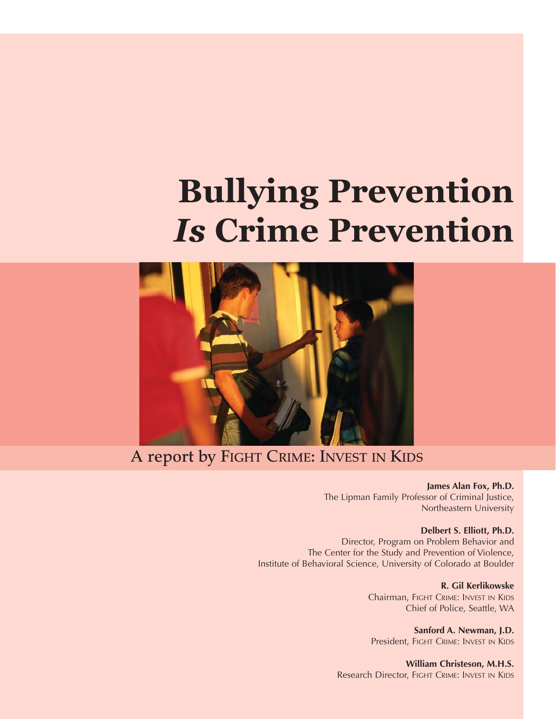# **Bullying Prevention**  *Is* **Crime Prevention**



#### **A report by FIGHT CRIME: INVEST IN KIDS**

**James Alan Fox, Ph.D.** The Lipman Family Professor of Criminal Justice, Northeastern University

#### **Delbert S. Elliott, Ph.D.**

Director, Program on Problem Behavior and The Center for the Study and Prevention of Violence, Institute of Behavioral Science, University of Colorado at Boulder

> **R. Gil Kerlikowske** Chairman, FIGHT CRIME: INVEST IN KIDS Chief of Police, Seattle, WA

**Sanford A. Newman, J.D.** President, FIGHT CRIME: INVEST IN KIDS

**William Christeson, M.H.S.**  Research Director, FIGHT CRIME: INVEST IN KIDS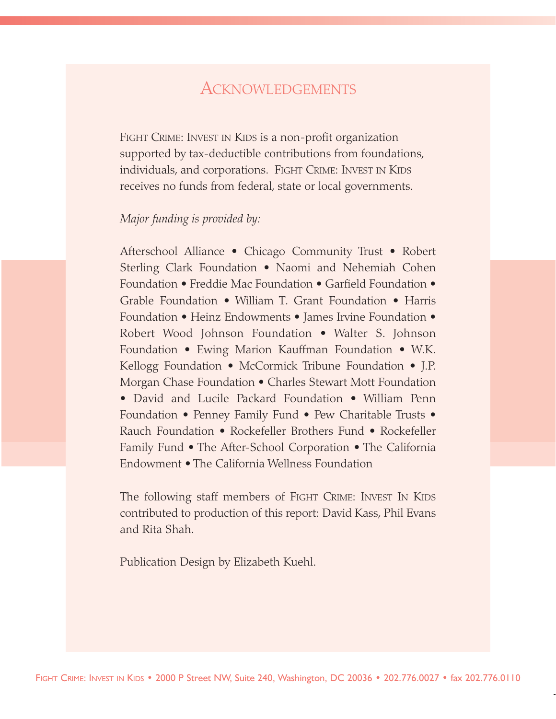### **ACKNOWLEDGEMENTS**

FIGHT CRIME: INVEST IN KIDS is a non-profit organization supported by tax-deductible contributions from foundations, individuals, and corporations. FIGHT CRIME: INVEST IN KIDS receives no funds from federal, state or local governments.

#### *Major funding is provided by:*

Afterschool Alliance • Chicago Community Trust • Robert Sterling Clark Foundation • Naomi and Nehemiah Cohen Foundation • Freddie Mac Foundation • Garfield Foundation • Grable Foundation • William T. Grant Foundation • Harris Foundation • Heinz Endowments • James Irvine Foundation • Robert Wood Johnson Foundation • Walter S. Johnson Foundation • Ewing Marion Kauffman Foundation • W.K. Kellogg Foundation • McCormick Tribune Foundation • J.P. Morgan Chase Foundation • Charles Stewart Mott Foundation • David and Lucile Packard Foundation • William Penn Foundation • Penney Family Fund • Pew Charitable Trusts • Rauch Foundation • Rockefeller Brothers Fund • Rockefeller Family Fund • The After-School Corporation • The California Endowment • The California Wellness Foundation

The following staff members of FIGHT CRIME: INVEST IN KIDS contributed to production of this report: David Kass, Phil Evans and Rita Shah.

Publication Design by Elizabeth Kuehl.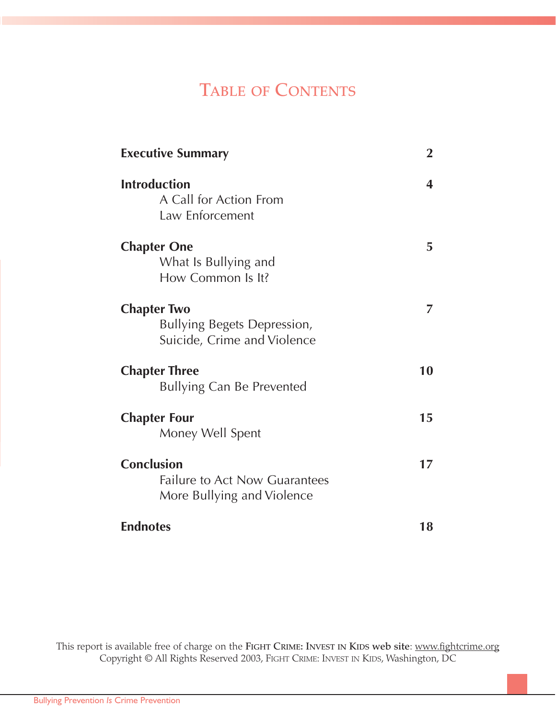### **TABLE OF CONTENTS**

| <b>Executive Summary</b>                                                                | $\overline{2}$ |
|-----------------------------------------------------------------------------------------|----------------|
| <b>Introduction</b><br>A Call for Action From<br>Law Enforcement                        | 4              |
| <b>Chapter One</b><br>What Is Bullying and<br>How Common Is It?                         | 5              |
| <b>Chapter Two</b><br><b>Bullying Begets Depression,</b><br>Suicide, Crime and Violence |                |
| <b>Chapter Three</b><br><b>Bullying Can Be Prevented</b>                                | 10             |
| <b>Chapter Four</b><br>Money Well Spent                                                 | 15             |
| <b>Conclusion</b><br><b>Failure to Act Now Guarantees</b><br>More Bullying and Violence | 17             |
| <b>Endnotes</b>                                                                         | 18             |

This report is available free of charge on the **FIGHT CRIME: INVEST IN KIDS web site**: www.fightcrime.org Copyright © All Rights Reserved 2003, FIGHT CRIME: INVEST IN KIDS, Washington, DC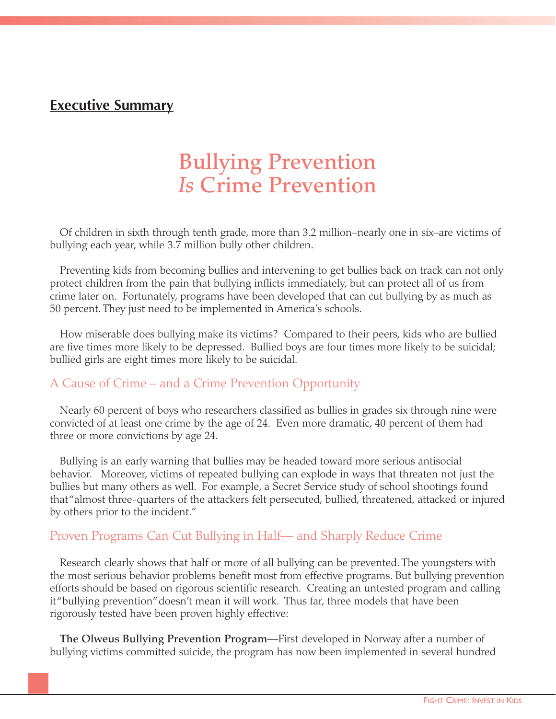#### **Executive Summary**

### **Bullying Prevention**  *Is* **Crime Prevention**

Of children in sixth through tenth grade, more than 3.2 million–nearly one in six–are victims of bullying each year, while 3.7 million bully other children.

Preventing kids from becoming bullies and intervening to get bullies back on track can not only protect children from the pain that bullying inflicts immediately, but can protect all of us from crime later on. Fortunately, programs have been developed that can cut bullying by as much as 50 percent. They just need to be implemented in America's schools.

How miserable does bullying make its victims? Compared to their peers, kids who are bullied are five times more likely to be depressed. Bullied boys are four times more likely to be suicidal; bullied girls are eight times more likely to be suicidal.

#### A Cause of Crime – and a Crime Prevention Opportunity

Nearly 60 percent of boys who researchers classified as bullies in grades six through nine were convicted of at least one crime by the age of 24. Even more dramatic, 40 percent of them had three or more convictions by age 24.

Bullying is an early warning that bullies may be headed toward more serious antisocial behavior. Moreover, victims of repeated bullying can explode in ways that threaten not just the bullies but many others as well. For example, a Secret Service study of school shootings found that "almost three-quarters of the attackers felt persecuted, bullied, threatened, attacked or injured by others prior to the incident."

#### Proven Programs Can Cut Bullying in Half— and Sharply Reduce Crime

Research clearly shows that half or more of all bullying can be prevented. The youngsters with the most serious behavior problems benefit most from effective programs. But bullying prevention efforts should be based on rigorous scientific research. Creating an untested program and calling it "bullying prevention"doesn't mean it will work. Thus far, three models that have been rigorously tested have been proven highly effective:

**The Olweus Bullying Prevention Program**—First developed in Norway after a number of bullying victims committed suicide, the program has now been implemented in several hundred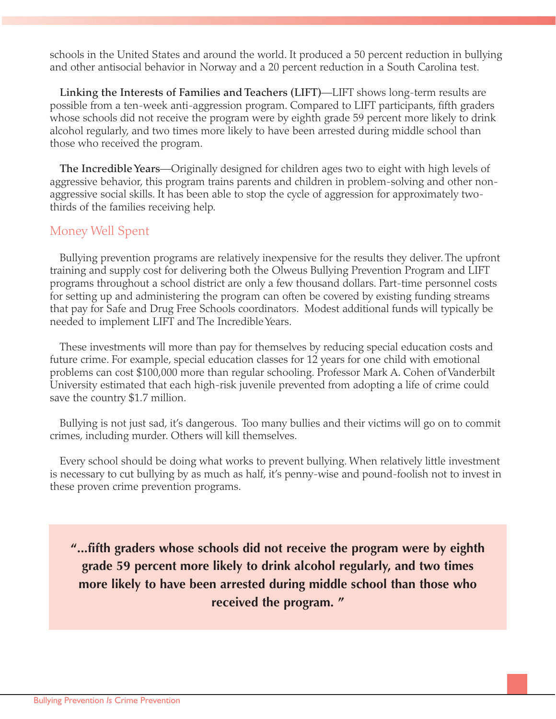schools in the United States and around the world. It produced a 50 percent reduction in bullying and other antisocial behavior in Norway and a 20 percent reduction in a South Carolina test.

**Linking the Interests of Families and Teachers (LIFT)**—LIFT shows long-term results are possible from a ten-week anti-aggression program. Compared to LIFT participants, fifth graders whose schools did not receive the program were by eighth grade 59 percent more likely to drink alcohol regularly, and two times more likely to have been arrested during middle school than those who received the program.

**The Incredible Years**—Originally designed for children ages two to eight with high levels of aggressive behavior, this program trains parents and children in problem-solving and other nonaggressive social skills. It has been able to stop the cycle of aggression for approximately twothirds of the families receiving help.

#### Money Well Spent

Bullying prevention programs are relatively inexpensive for the results they deliver. The upfront training and supply cost for delivering both the Olweus Bullying Prevention Program and LIFT programs throughout a school district are only a few thousand dollars. Part-time personnel costs for setting up and administering the program can often be covered by existing funding streams that pay for Safe and Drug Free Schools coordinators. Modest additional funds will typically be needed to implement LIFT and The Incredible Years.

These investments will more than pay for themselves by reducing special education costs and future crime. For example, special education classes for 12 years for one child with emotional problems can cost \$100,000 more than regular schooling. Professor Mark A. Cohen of Vanderbilt University estimated that each high-risk juvenile prevented from adopting a life of crime could save the country \$1.7 million.

Bullying is not just sad, it's dangerous. Too many bullies and their victims will go on to commit crimes, including murder. Others will kill themselves.

Every school should be doing what works to prevent bullying. When relatively little investment is necessary to cut bullying by as much as half, it's penny-wise and pound-foolish not to invest in these proven crime prevention programs.

**"...fifth graders whose schools did not receive the program were by eighth grade 59 percent more likely to drink alcohol regularly, and two times more likely to have been arrested during middle school than those who received the program. "**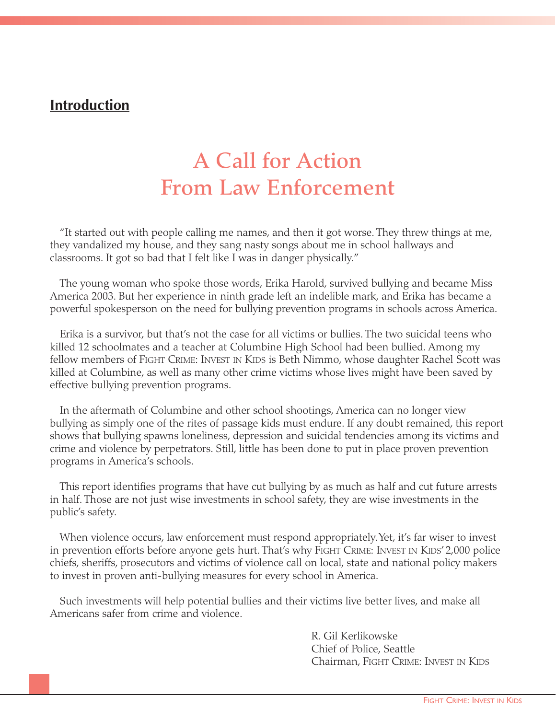#### **Introduction**

### **A Call for Action From Law Enforcement**

"It started out with people calling me names, and then it got worse. They threw things at me, they vandalized my house, and they sang nasty songs about me in school hallways and classrooms. It got so bad that I felt like I was in danger physically."

The young woman who spoke those words, Erika Harold, survived bullying and became Miss America 2003. But her experience in ninth grade left an indelible mark, and Erika has became a powerful spokesperson on the need for bullying prevention programs in schools across America.

Erika is a survivor, but that's not the case for all victims or bullies. The two suicidal teens who killed 12 schoolmates and a teacher at Columbine High School had been bullied. Among my fellow members of FIGHT CRIME: INVEST IN KIDS is Beth Nimmo, whose daughter Rachel Scott was killed at Columbine, as well as many other crime victims whose lives might have been saved by effective bullying prevention programs.

In the aftermath of Columbine and other school shootings, America can no longer view bullying as simply one of the rites of passage kids must endure. If any doubt remained, this report shows that bullying spawns loneliness, depression and suicidal tendencies among its victims and crime and violence by perpetrators. Still, little has been done to put in place proven prevention programs in America's schools.

This report identifies programs that have cut bullying by as much as half and cut future arrests in half. Those are not just wise investments in school safety, they are wise investments in the public's safety.

When violence occurs, law enforcement must respond appropriately. Yet, it's far wiser to invest in prevention efforts before anyone gets hurt. That's why FIGHT CRIME: INVEST IN KIDS'2,000 police chiefs, sheriffs, prosecutors and victims of violence call on local, state and national policy makers to invest in proven anti-bullying measures for every school in America.

Such investments will help potential bullies and their victims live better lives, and make all Americans safer from crime and violence.

> R. Gil Kerlikowske Chief of Police, Seattle Chairman, FIGHT CRIME: INVEST IN KIDS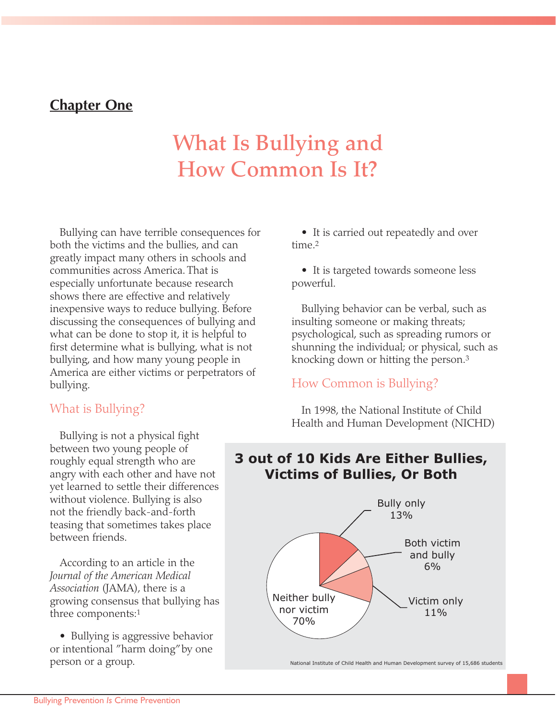#### **Chapter One**

## **What Is Bullying and How Common Is It?**

Bullying can have terrible consequences for both the victims and the bullies, and can greatly impact many others in schools and communities across America. That is especially unfortunate because research shows there are effective and relatively inexpensive ways to reduce bullying. Before discussing the consequences of bullying and what can be done to stop it, it is helpful to first determine what is bullying, what is not bullying, and how many young people in America are either victims or perpetrators of bullying.

#### What is Bullying?

Bullying is not a physical fight between two young people of roughly equal strength who are angry with each other and have not yet learned to settle their differences without violence. Bullying is also not the friendly back-and-forth teasing that sometimes takes place between friends.

According to an article in the *Journal of the American Medical Association* (JAMA), there is a growing consensus that bullying has three components:1

• Bullying is aggressive behavior or intentional "harm doing"by one person or a group.

• It is carried out repeatedly and over time<sup>2</sup>

• It is targeted towards someone less powerful.

Bullying behavior can be verbal, such as insulting someone or making threats; psychological, such as spreading rumors or shunning the individual; or physical, such as knocking down or hitting the person.3

#### How Common is Bullying?

In 1998, the National Institute of Child Health and Human Development (NICHD)

#### **3 out of 10 Kids Are Either Bullies, Victims of Bullies, Or Both**

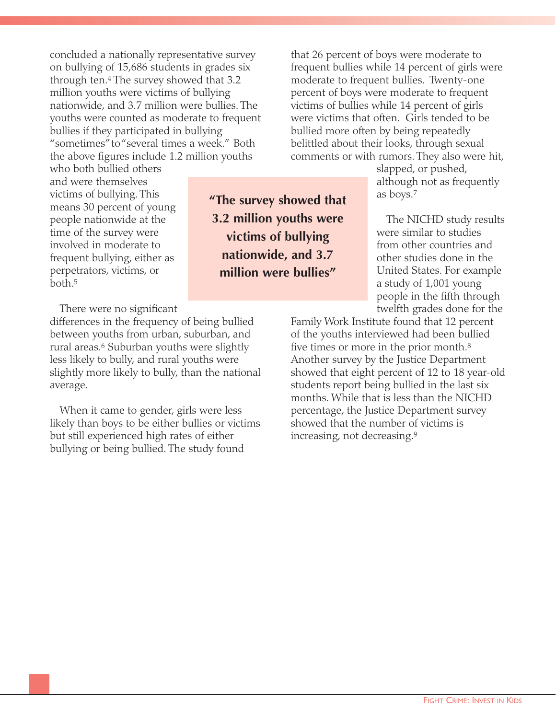concluded a nationally representative survey on bullying of 15,686 students in grades six through ten.4 The survey showed that 3.2 million youths were victims of bullying nationwide, and 3.7 million were bullies. The youths were counted as moderate to frequent bullies if they participated in bullying "sometimes"to "several times a week." Both the above figures include 1.2 million youths

who both bullied others and were themselves victims of bullying. This means 30 percent of young people nationwide at the time of the survey were involved in moderate to frequent bullying, either as perpetrators, victims, or both.5

There were no significant

differences in the frequency of being bullied between youths from urban, suburban, and rural areas.6 Suburban youths were slightly less likely to bully, and rural youths were slightly more likely to bully, than the national average.

When it came to gender, girls were less likely than boys to be either bullies or victims but still experienced high rates of either bullying or being bullied. The study found

that 26 percent of boys were moderate to frequent bullies while 14 percent of girls were moderate to frequent bullies. Twenty-one percent of boys were moderate to frequent victims of bullies while 14 percent of girls were victims that often. Girls tended to be bullied more often by being repeatedly belittled about their looks, through sexual comments or with rumors. They also were hit,

> slapped, or pushed, although not as frequently as boys.7

The NICHD study results were similar to studies from other countries and other studies done in the United States. For example a study of 1,001 young people in the fifth through twelfth grades done for the

Family Work Institute found that 12 percent of the youths interviewed had been bullied five times or more in the prior month.<sup>8</sup> Another survey by the Justice Department showed that eight percent of 12 to 18 year-old students report being bullied in the last six months. While that is less than the NICHD percentage, the Justice Department survey showed that the number of victims is increasing, not decreasing.9

**"The survey showed that 3.2 million youths were victims of bullying nationwide, and 3.7 million were bullies"**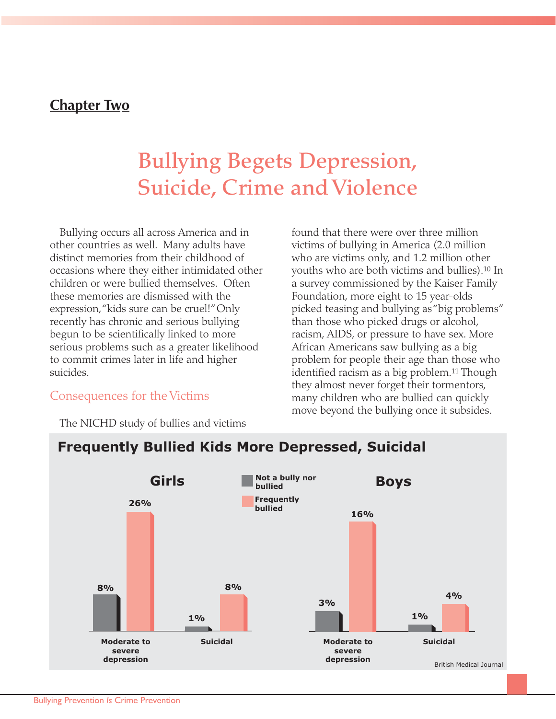#### **Chapter Two**

### **Bullying Begets Depression, Suicide, Crime and Violence**

Bullying occurs all across America and in other countries as well. Many adults have distinct memories from their childhood of occasions where they either intimidated other children or were bullied themselves. Often these memories are dismissed with the expression,"kids sure can be cruel!"Only recently has chronic and serious bullying begun to be scientifically linked to more serious problems such as a greater likelihood to commit crimes later in life and higher suicides.

found that there were over three million victims of bullying in America (2.0 million who are victims only, and 1.2 million other youths who are both victims and bullies).10 In a survey commissioned by the Kaiser Family Foundation, more eight to 15 year-olds picked teasing and bullying as "big problems" than those who picked drugs or alcohol, racism, AIDS, or pressure to have sex. More African Americans saw bullying as a big problem for people their age than those who identified racism as a big problem.11 Though they almost never forget their tormentors, many children who are bullied can quickly move beyond the bullying once it subsides.

#### Consequences for the Victims

The NICHD study of bullies and victims

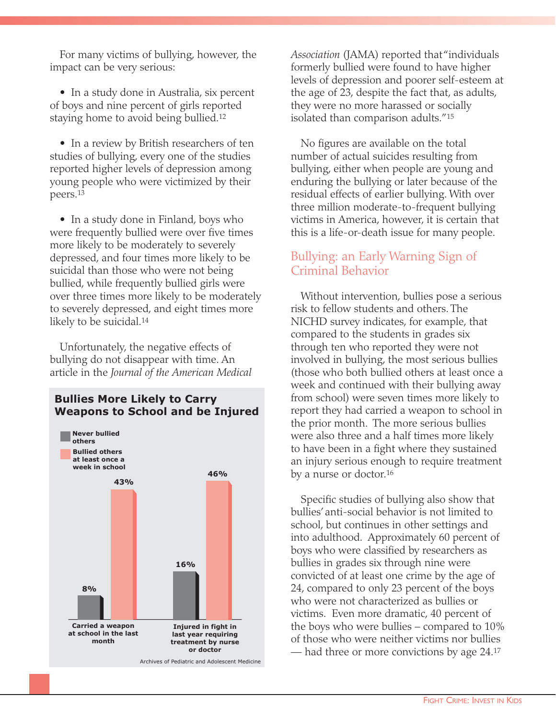For many victims of bullying, however, the impact can be very serious:

• In a study done in Australia, six percent of boys and nine percent of girls reported staying home to avoid being bullied.12

• In a review by British researchers of ten studies of bullying, every one of the studies reported higher levels of depression among young people who were victimized by their peers.13

• In a study done in Finland, boys who were frequently bullied were over five times more likely to be moderately to severely depressed, and four times more likely to be suicidal than those who were not being bullied, while frequently bullied girls were over three times more likely to be moderately to severely depressed, and eight times more likely to be suicidal.<sup>14</sup>

Unfortunately, the negative effects of bullying do not disappear with time. An article in the *Journal of the American Medical*



*Association* (JAMA) reported that "individuals formerly bullied were found to have higher levels of depression and poorer self-esteem at the age of 23, despite the fact that, as adults, they were no more harassed or socially isolated than comparison adults."15

No figures are available on the total number of actual suicides resulting from bullying, either when people are young and enduring the bullying or later because of the residual effects of earlier bullying. With over three million moderate-to-frequent bullying victims in America, however, it is certain that this is a life-or-death issue for many people.

#### Bullying: an Early Warning Sign of Criminal Behavior

Without intervention, bullies pose a serious risk to fellow students and others. The NICHD survey indicates, for example, that compared to the students in grades six through ten who reported they were not involved in bullying, the most serious bullies (those who both bullied others at least once a week and continued with their bullying away from school) were seven times more likely to report they had carried a weapon to school in the prior month. The more serious bullies were also three and a half times more likely to have been in a fight where they sustained an injury serious enough to require treatment by a nurse or doctor.16

Specific studies of bullying also show that bullies' anti-social behavior is not limited to school, but continues in other settings and into adulthood. Approximately 60 percent of boys who were classified by researchers as bullies in grades six through nine were convicted of at least one crime by the age of 24, compared to only 23 percent of the boys who were not characterized as bullies or victims. Even more dramatic, 40 percent of the boys who were bullies – compared to 10% of those who were neither victims nor bullies — had three or more convictions by age 24.17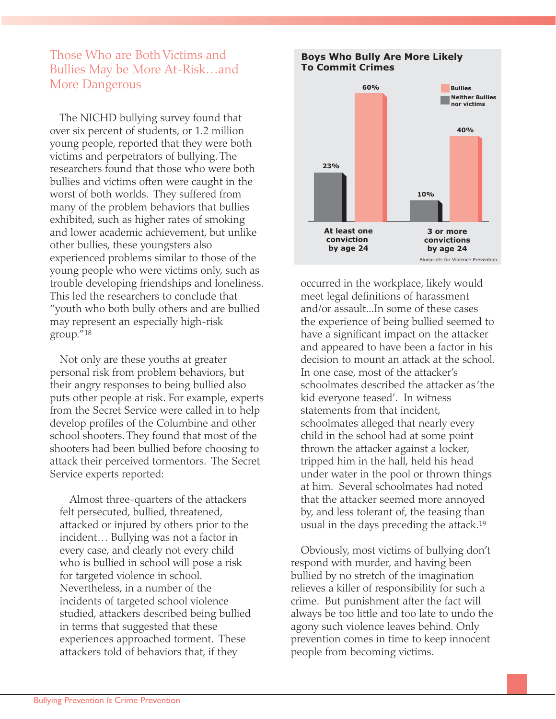#### Those Who are Both Victims and Bullies May be More At-Risk…and More Dangerous

The NICHD bullying survey found that over six percent of students, or 1.2 million young people, reported that they were both victims and perpetrators of bullying. The researchers found that those who were both bullies and victims often were caught in the worst of both worlds. They suffered from many of the problem behaviors that bullies exhibited, such as higher rates of smoking and lower academic achievement, but unlike other bullies, these youngsters also experienced problems similar to those of the young people who were victims only, such as trouble developing friendships and loneliness. This led the researchers to conclude that "youth who both bully others and are bullied may represent an especially high-risk group."18

Not only are these youths at greater personal risk from problem behaviors, but their angry responses to being bullied also puts other people at risk. For example, experts from the Secret Service were called in to help develop profiles of the Columbine and other school shooters. They found that most of the shooters had been bullied before choosing to attack their perceived tormentors. The Secret Service experts reported:

Almost three-quarters of the attackers felt persecuted, bullied, threatened, attacked or injured by others prior to the incident… Bullying was not a factor in every case, and clearly not every child who is bullied in school will pose a risk for targeted violence in school. Nevertheless, in a number of the incidents of targeted school violence studied, attackers described being bullied in terms that suggested that these experiences approached torment. These attackers told of behaviors that, if they



occurred in the workplace, likely would meet legal definitions of harassment and/or assault...In some of these cases the experience of being bullied seemed to have a significant impact on the attacker and appeared to have been a factor in his decision to mount an attack at the school. In one case, most of the attacker's schoolmates described the attacker as 'the kid everyone teased'. In witness statements from that incident, schoolmates alleged that nearly every child in the school had at some point thrown the attacker against a locker, tripped him in the hall, held his head under water in the pool or thrown things at him. Several schoolmates had noted that the attacker seemed more annoyed by, and less tolerant of, the teasing than usual in the days preceding the attack.19

Obviously, most victims of bullying don't respond with murder, and having been bullied by no stretch of the imagination relieves a killer of responsibility for such a crime. But punishment after the fact will always be too little and too late to undo the agony such violence leaves behind. Only prevention comes in time to keep innocent people from becoming victims.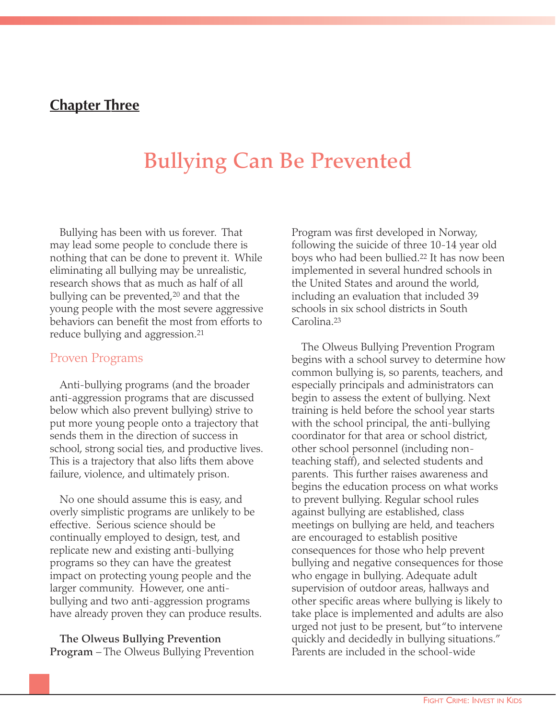#### **Chapter Three**

### **Bullying Can Be Prevented**

Bullying has been with us forever. That may lead some people to conclude there is nothing that can be done to prevent it. While eliminating all bullying may be unrealistic, research shows that as much as half of all bullying can be prevented,<sup>20</sup> and that the young people with the most severe aggressive behaviors can benefit the most from efforts to reduce bullying and aggression.21

#### Proven Programs

Anti-bullying programs (and the broader anti-aggression programs that are discussed below which also prevent bullying) strive to put more young people onto a trajectory that sends them in the direction of success in school, strong social ties, and productive lives. This is a trajectory that also lifts them above failure, violence, and ultimately prison.

No one should assume this is easy, and overly simplistic programs are unlikely to be effective. Serious science should be continually employed to design, test, and replicate new and existing anti-bullying programs so they can have the greatest impact on protecting young people and the larger community. However, one antibullying and two anti-aggression programs have already proven they can produce results.

**The Olweus Bullying Prevention Program** – The Olweus Bullying Prevention Program was first developed in Norway, following the suicide of three 10-14 year old boys who had been bullied.22 It has now been implemented in several hundred schools in the United States and around the world, including an evaluation that included 39 schools in six school districts in South Carolina.23

The Olweus Bullying Prevention Program begins with a school survey to determine how common bullying is, so parents, teachers, and especially principals and administrators can begin to assess the extent of bullying. Next training is held before the school year starts with the school principal, the anti-bullying coordinator for that area or school district, other school personnel (including nonteaching staff), and selected students and parents. This further raises awareness and begins the education process on what works to prevent bullying. Regular school rules against bullying are established, class meetings on bullying are held, and teachers are encouraged to establish positive consequences for those who help prevent bullying and negative consequences for those who engage in bullying. Adequate adult supervision of outdoor areas, hallways and other specific areas where bullying is likely to take place is implemented and adults are also urged not just to be present, but "to intervene quickly and decidedly in bullying situations." Parents are included in the school-wide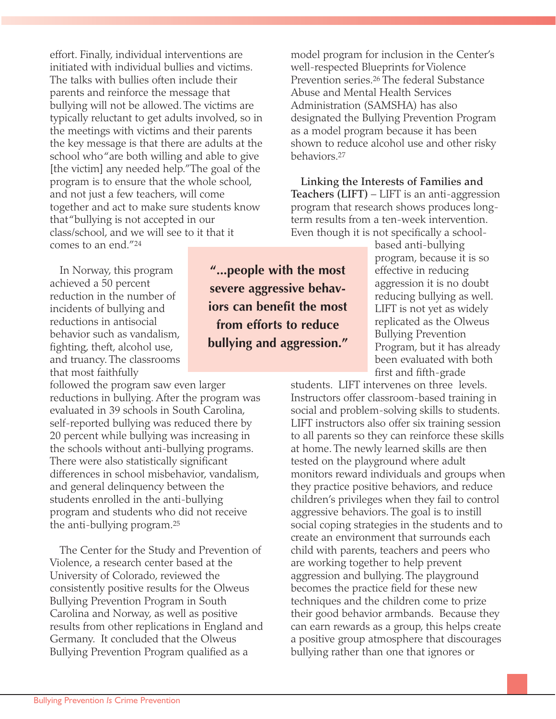effort. Finally, individual interventions are initiated with individual bullies and victims. The talks with bullies often include their parents and reinforce the message that bullying will not be allowed. The victims are typically reluctant to get adults involved, so in the meetings with victims and their parents the key message is that there are adults at the school who "are both willing and able to give [the victim] any needed help."The goal of the program is to ensure that the whole school, and not just a few teachers, will come together and act to make sure students know that "bullying is not accepted in our class/school, and we will see to it that it comes to an end."24

In Norway, this program achieved a 50 percent reduction in the number of incidents of bullying and reductions in antisocial behavior such as vandalism, fighting, theft, alcohol use, and truancy. The classrooms that most faithfully

followed the program saw even larger reductions in bullying. After the program was evaluated in 39 schools in South Carolina, self-reported bullying was reduced there by 20 percent while bullying was increasing in the schools without anti-bullying programs. There were also statistically significant differences in school misbehavior, vandalism, and general delinquency between the students enrolled in the anti-bullying program and students who did not receive the anti-bullying program.25

The Center for the Study and Prevention of Violence, a research center based at the University of Colorado, reviewed the consistently positive results for the Olweus Bullying Prevention Program in South Carolina and Norway, as well as positive results from other replications in England and Germany. It concluded that the Olweus Bullying Prevention Program qualified as a

**"...people with the most severe aggressive behaviors can benefit the most from efforts to reduce bullying and aggression."**

model program for inclusion in the Center's well-respected Blueprints for Violence Prevention series.26 The federal Substance Abuse and Mental Health Services Administration (SAMSHA) has also designated the Bullying Prevention Program as a model program because it has been shown to reduce alcohol use and other risky behaviors.27

**Linking the Interests of Families and Teachers (LIFT)** – LIFT is an anti-aggression program that research shows produces longterm results from a ten-week intervention. Even though it is not specifically a school-

based anti-bullying program, because it is so effective in reducing aggression it is no doubt reducing bullying as well. LIFT is not yet as widely replicated as the Olweus Bullying Prevention Program, but it has already been evaluated with both first and fifth-grade

students. LIFT intervenes on three levels. Instructors offer classroom-based training in social and problem-solving skills to students. LIFT instructors also offer six training session to all parents so they can reinforce these skills at home. The newly learned skills are then tested on the playground where adult monitors reward individuals and groups when they practice positive behaviors, and reduce children's privileges when they fail to control aggressive behaviors. The goal is to instill social coping strategies in the students and to create an environment that surrounds each child with parents, teachers and peers who are working together to help prevent aggression and bullying. The playground becomes the practice field for these new techniques and the children come to prize their good behavior armbands. Because they can earn rewards as a group, this helps create a positive group atmosphere that discourages bullying rather than one that ignores or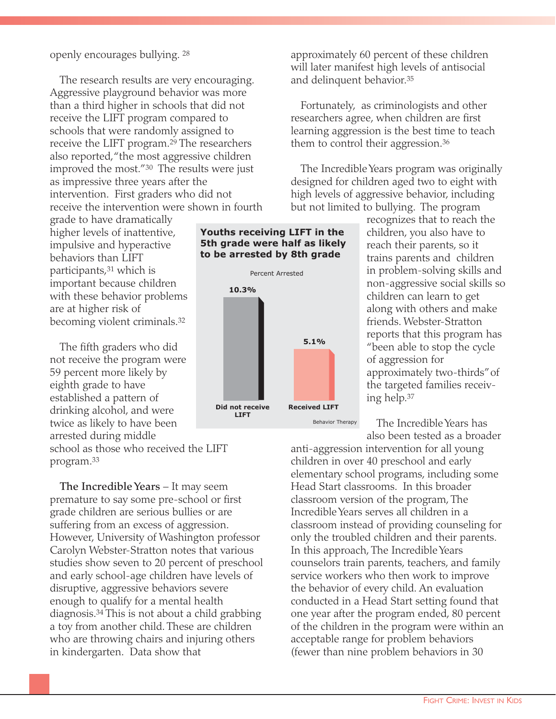#### openly encourages bullying. <sup>28</sup>

The research results are very encouraging. Aggressive playground behavior was more than a third higher in schools that did not receive the LIFT program compared to schools that were randomly assigned to receive the LIFT program.<sup>29</sup> The researchers also reported,"the most aggressive children improved the most."30 The results were just as impressive three years after the intervention. First graders who did not receive the intervention were shown in fourth

grade to have dramatically higher levels of inattentive, impulsive and hyperactive behaviors than LIFT participants,31 which is important because children with these behavior problems are at higher risk of becoming violent criminals.32

The fifth graders who did not receive the program were 59 percent more likely by eighth grade to have established a pattern of drinking alcohol, and were twice as likely to have been arrested during middle school as those who received the LIFT program.33

**The Incredible Years** – It may seem premature to say some pre-school or first grade children are serious bullies or are suffering from an excess of aggression. However, University of Washington professor Carolyn Webster-Stratton notes that various studies show seven to 20 percent of preschool and early school-age children have levels of disruptive, aggressive behaviors severe enough to qualify for a mental health diagnosis.34 This is not about a child grabbing a toy from another child. These are children who are throwing chairs and injuring others in kindergarten. Data show that

approximately 60 percent of these children will later manifest high levels of antisocial and delinquent behavior.35

Fortunately, as criminologists and other researchers agree, when children are first learning aggression is the best time to teach them to control their aggression.36

The Incredible Years program was originally designed for children aged two to eight with high levels of aggressive behavior, including but not limited to bullying. The program

> recognizes that to reach the children, you also have to reach their parents, so it trains parents and children in problem-solving skills and non-aggressive social skills so children can learn to get along with others and make friends. Webster-Stratton reports that this program has "been able to stop the cycle of aggression for approximately two-thirds"of the targeted families receiving help.37

The Incredible Years has also been tested as a broader

anti-aggression intervention for all young children in over 40 preschool and early elementary school programs, including some Head Start classrooms. In this broader classroom version of the program, The Incredible Years serves all children in a classroom instead of providing counseling for only the troubled children and their parents. In this approach, The Incredible Years counselors train parents, teachers, and family service workers who then work to improve the behavior of every child. An evaluation conducted in a Head Start setting found that one year after the program ended, 80 percent of the children in the program were within an acceptable range for problem behaviors (fewer than nine problem behaviors in 30

#### **Youths receiving LIFT in the 5th grade were half as likely to be arrested by 8th grade**

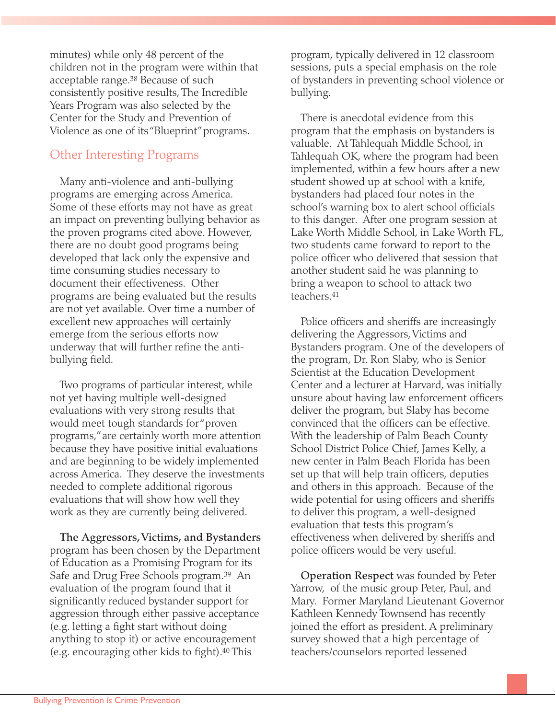minutes) while only 48 percent of the children not in the program were within that acceptable range.38 Because of such consistently positive results, The Incredible Years Program was also selected by the Center for the Study and Prevention of Violence as one of its "Blueprint"programs.

#### Other Interesting Programs

Many anti-violence and anti-bullying programs are emerging across America. Some of these efforts may not have as great an impact on preventing bullying behavior as the proven programs cited above. However, there are no doubt good programs being developed that lack only the expensive and time consuming studies necessary to document their effectiveness. Other programs are being evaluated but the results are not yet available. Over time a number of excellent new approaches will certainly emerge from the serious efforts now underway that will further refine the antibullying field.

Two programs of particular interest, while not yet having multiple well-designed evaluations with very strong results that would meet tough standards for "proven programs,"are certainly worth more attention because they have positive initial evaluations and are beginning to be widely implemented across America. They deserve the investments needed to complete additional rigorous evaluations that will show how well they work as they are currently being delivered.

**The Aggressors,Victims, and Bystanders** program has been chosen by the Department of Education as a Promising Program for its Safe and Drug Free Schools program.39 An evaluation of the program found that it significantly reduced bystander support for aggression through either passive acceptance (e.g. letting a fight start without doing anything to stop it) or active encouragement (e.g. encouraging other kids to fight).40 This

program, typically delivered in 12 classroom sessions, puts a special emphasis on the role of bystanders in preventing school violence or bullying.

There is anecdotal evidence from this program that the emphasis on bystanders is valuable. At Tahlequah Middle School, in Tahlequah OK, where the program had been implemented, within a few hours after a new student showed up at school with a knife, bystanders had placed four notes in the school's warning box to alert school officials to this danger. After one program session at Lake Worth Middle School, in Lake Worth FL, two students came forward to report to the police officer who delivered that session that another student said he was planning to bring a weapon to school to attack two teachers.41

Police officers and sheriffs are increasingly delivering the Aggressors, Victims and Bystanders program. One of the developers of the program, Dr. Ron Slaby, who is Senior Scientist at the Education Development Center and a lecturer at Harvard, was initially unsure about having law enforcement officers deliver the program, but Slaby has become convinced that the officers can be effective. With the leadership of Palm Beach County School District Police Chief, James Kelly, a new center in Palm Beach Florida has been set up that will help train officers, deputies and others in this approach. Because of the wide potential for using officers and sheriffs to deliver this program, a well-designed evaluation that tests this program's effectiveness when delivered by sheriffs and police officers would be very useful.

**Operation Respect** was founded by Peter Yarrow, of the music group Peter, Paul, and Mary. Former Maryland Lieutenant Governor Kathleen Kennedy Townsend has recently joined the effort as president. A preliminary survey showed that a high percentage of teachers/counselors reported lessened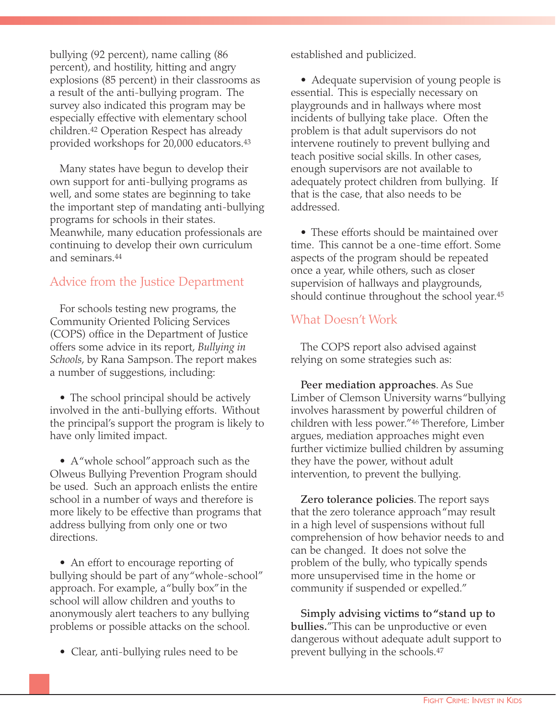bullying (92 percent), name calling (86 percent), and hostility, hitting and angry explosions (85 percent) in their classrooms as a result of the anti-bullying program. The survey also indicated this program may be especially effective with elementary school children.42 Operation Respect has already provided workshops for 20,000 educators.43

Many states have begun to develop their own support for anti-bullying programs as well, and some states are beginning to take the important step of mandating anti-bullying programs for schools in their states. Meanwhile, many education professionals are continuing to develop their own curriculum and seminars.44

#### Advice from the Justice Department

For schools testing new programs, the Community Oriented Policing Services (COPS) office in the Department of Justice offers some advice in its report, *Bullying in Schools*, by Rana Sampson. The report makes a number of suggestions, including:

• The school principal should be actively involved in the anti-bullying efforts. Without the principal's support the program is likely to have only limited impact.

• A "whole school" approach such as the Olweus Bullying Prevention Program should be used. Such an approach enlists the entire school in a number of ways and therefore is more likely to be effective than programs that address bullying from only one or two directions.

• An effort to encourage reporting of bullying should be part of any "whole-school" approach. For example, a "bully box"in the school will allow children and youths to anonymously alert teachers to any bullying problems or possible attacks on the school.

• Clear, anti-bullying rules need to be

established and publicized.

• Adequate supervision of young people is essential. This is especially necessary on playgrounds and in hallways where most incidents of bullying take place. Often the problem is that adult supervisors do not intervene routinely to prevent bullying and teach positive social skills. In other cases, enough supervisors are not available to adequately protect children from bullying. If that is the case, that also needs to be addressed.

• These efforts should be maintained over time. This cannot be a one-time effort. Some aspects of the program should be repeated once a year, while others, such as closer supervision of hallways and playgrounds, should continue throughout the school year.45

#### What Doesn't Work

The COPS report also advised against relying on some strategies such as:

**Peer mediation approaches**. As Sue Limber of Clemson University warns "bullying involves harassment by powerful children of children with less power."46 Therefore, Limber argues, mediation approaches might even further victimize bullied children by assuming they have the power, without adult intervention, to prevent the bullying.

**Zero tolerance policies**. The report says that the zero tolerance approach "may result in a high level of suspensions without full comprehension of how behavior needs to and can be changed. It does not solve the problem of the bully, who typically spends more unsupervised time in the home or community if suspended or expelled."

**Simply advising victims to "stand up to bullies.**"This can be unproductive or even dangerous without adequate adult support to prevent bullying in the schools.47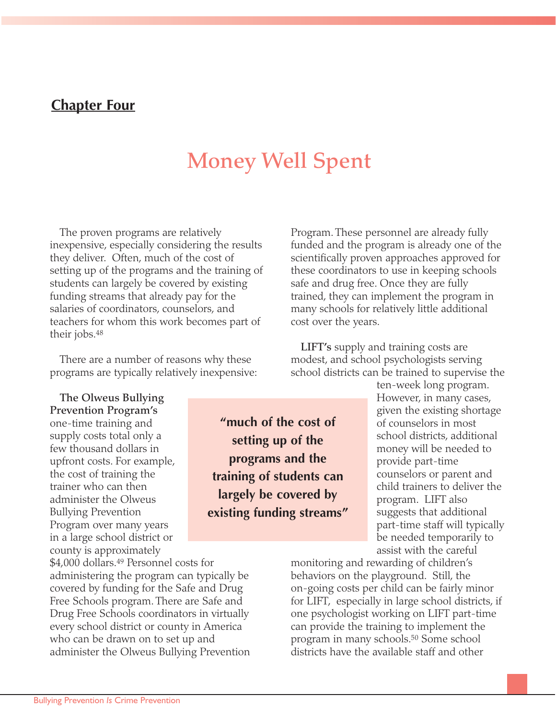#### **Chapter Four**

### **Money Well Spent**

The proven programs are relatively inexpensive, especially considering the results they deliver. Often, much of the cost of setting up of the programs and the training of students can largely be covered by existing funding streams that already pay for the salaries of coordinators, counselors, and teachers for whom this work becomes part of their jobs.48

There are a number of reasons why these programs are typically relatively inexpensive:

**The Olweus Bullying Prevention Program's** one-time training and supply costs total only a few thousand dollars in upfront costs. For example, the cost of training the trainer who can then administer the Olweus Bullying Prevention Program over many years in a large school district or county is approximately

\$4,000 dollars.49 Personnel costs for administering the program can typically be covered by funding for the Safe and Drug Free Schools program. There are Safe and Drug Free Schools coordinators in virtually every school district or county in America who can be drawn on to set up and administer the Olweus Bullying Prevention Program. These personnel are already fully funded and the program is already one of the scientifically proven approaches approved for these coordinators to use in keeping schools safe and drug free. Once they are fully trained, they can implement the program in many schools for relatively little additional cost over the years.

**LIFT's** supply and training costs are modest, and school psychologists serving school districts can be trained to supervise the

> ten-week long program. However, in many cases, given the existing shortage of counselors in most school districts, additional money will be needed to provide part-time counselors or parent and child trainers to deliver the program. LIFT also suggests that additional part-time staff will typically be needed temporarily to assist with the careful

monitoring and rewarding of children's behaviors on the playground. Still, the on-going costs per child can be fairly minor for LIFT, especially in large school districts, if one psychologist working on LIFT part-time can provide the training to implement the program in many schools.50 Some school districts have the available staff and other

**setting up of the programs and the training of students can largely be covered by existing funding streams"**

**"much of the cost of**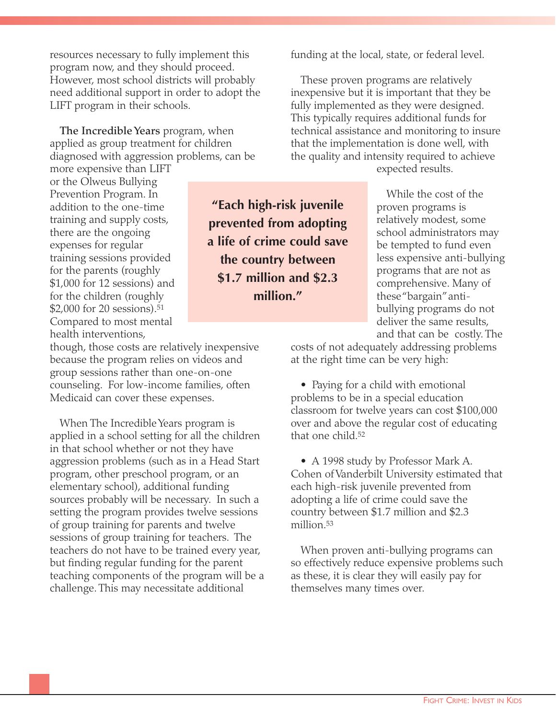resources necessary to fully implement this program now, and they should proceed. However, most school districts will probably need additional support in order to adopt the LIFT program in their schools.

**The Incredible Years** program, when applied as group treatment for children diagnosed with aggression problems, can be more expensive than LIFT

or the Olweus Bullying Prevention Program. In addition to the one-time training and supply costs, there are the ongoing expenses for regular training sessions provided for the parents (roughly \$1,000 for 12 sessions) and for the children (roughly \$2,000 for 20 sessions).51 Compared to most mental health interventions,

though, those costs are relatively inexpensive because the program relies on videos and group sessions rather than one-on-one counseling. For low-income families, often Medicaid can cover these expenses.

When The Incredible Years program is applied in a school setting for all the children in that school whether or not they have aggression problems (such as in a Head Start program, other preschool program, or an elementary school), additional funding sources probably will be necessary. In such a setting the program provides twelve sessions of group training for parents and twelve sessions of group training for teachers. The teachers do not have to be trained every year, but finding regular funding for the parent teaching components of the program will be a challenge. This may necessitate additional

**"Each high-risk juvenile prevented from adopting a life of crime could save the country between \$1.7 million and \$2.3 million."**

funding at the local, state, or federal level.

These proven programs are relatively inexpensive but it is important that they be fully implemented as they were designed. This typically requires additional funds for technical assistance and monitoring to insure that the implementation is done well, with the quality and intensity required to achieve

expected results.

While the cost of the proven programs is relatively modest, some school administrators may be tempted to fund even less expensive anti-bullying programs that are not as comprehensive. Many of these "bargain"antibullying programs do not deliver the same results, and that can be costly. The

costs of not adequately addressing problems at the right time can be very high:

• Paying for a child with emotional problems to be in a special education classroom for twelve years can cost \$100,000 over and above the regular cost of educating that one child.52

• A 1998 study by Professor Mark A. Cohen of Vanderbilt University estimated that each high-risk juvenile prevented from adopting a life of crime could save the country between \$1.7 million and \$2.3 million.53

When proven anti-bullying programs can so effectively reduce expensive problems such as these, it is clear they will easily pay for themselves many times over.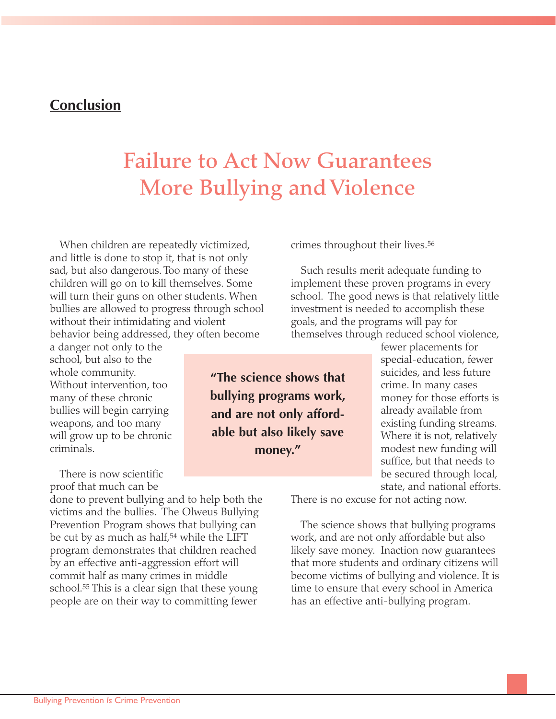#### **Conclusion**

### **Failure to Act Now Guarantees More Bullying and Violence**

When children are repeatedly victimized, and little is done to stop it, that is not only sad, but also dangerous. Too many of these children will go on to kill themselves. Some will turn their guns on other students. When bullies are allowed to progress through school without their intimidating and violent behavior being addressed, they often become

a danger not only to the school, but also to the whole community. Without intervention, too many of these chronic bullies will begin carrying weapons, and too many will grow up to be chronic criminals.

There is now scientific proof that much can be

done to prevent bullying and to help both the victims and the bullies. The Olweus Bullying Prevention Program shows that bullying can be cut by as much as half,<sup>54</sup> while the LIFT program demonstrates that children reached by an effective anti-aggression effort will commit half as many crimes in middle school.55 This is a clear sign that these young people are on their way to committing fewer

**"The science shows that bullying programs work, and are not only affordable but also likely save money."**

crimes throughout their lives.56

Such results merit adequate funding to implement these proven programs in every school. The good news is that relatively little investment is needed to accomplish these goals, and the programs will pay for themselves through reduced school violence,

> fewer placements for special-education, fewer suicides, and less future crime. In many cases money for those efforts is already available from existing funding streams. Where it is not, relatively modest new funding will suffice, but that needs to be secured through local, state, and national efforts.

There is no excuse for not acting now.

The science shows that bullying programs work, and are not only affordable but also likely save money. Inaction now guarantees that more students and ordinary citizens will become victims of bullying and violence. It is time to ensure that every school in America has an effective anti-bullying program.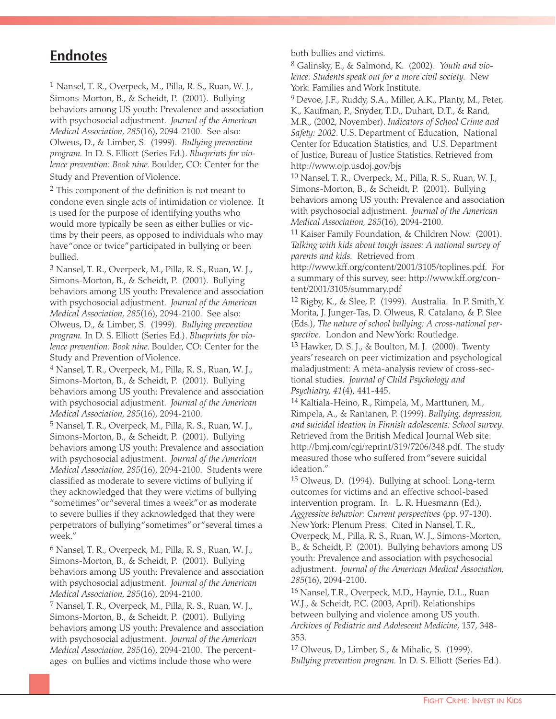#### **Endnotes**

1 Nansel, T. R., Overpeck, M., Pilla, R. S., Ruan, W. J., Simons-Morton, B., & Scheidt, P. (2001). Bullying behaviors among US youth: Prevalence and association with psychosocial adjustment. *Journal of the American Medical Association, 285*(16), 2094-2100. See also: Olweus, D., & Limber, S. (1999). *Bullying prevention program.* In D. S. Elliott (Series Ed.). *Blueprints for violence prevention: Book nine.* Boulder, CO: Center for the Study and Prevention of Violence.

2 This component of the definition is not meant to condone even single acts of intimidation or violence. It is used for the purpose of identifying youths who would more typically be seen as either bullies or victims by their peers, as opposed to individuals who may have "once or twice"participated in bullying or been bullied.

3 Nansel, T. R., Overpeck, M., Pilla, R. S., Ruan, W. J., Simons-Morton, B., & Scheidt, P. (2001). Bullying behaviors among US youth: Prevalence and association with psychosocial adjustment. *Journal of the American Medical Association, 285*(16), 2094-2100. See also: Olweus, D., & Limber, S. (1999). *Bullying prevention program.* In D. S. Elliott (Series Ed.). *Blueprints for violence prevention: Book nine.* Boulder, CO: Center for the Study and Prevention of Violence.

4 Nansel, T. R., Overpeck, M., Pilla, R. S., Ruan, W. J., Simons-Morton, B., & Scheidt, P. (2001). Bullying behaviors among US youth: Prevalence and association with psychosocial adjustment. *Journal of the American Medical Association, 285*(16), 2094-2100.

5 Nansel, T. R., Overpeck, M., Pilla, R. S., Ruan, W. J., Simons-Morton, B., & Scheidt, P. (2001). Bullying behaviors among US youth: Prevalence and association with psychosocial adjustment. *Journal of the American Medical Association, 285*(16), 2094-2100. Students were classified as moderate to severe victims of bullying if they acknowledged that they were victims of bullying "sometimes"or "several times a week"or as moderate to severe bullies if they acknowledged that they were perpetrators of bullying "sometimes"or "several times a week."

 $6$  Nansel, T. R., Overpeck, M., Pilla, R. S., Ruan, W. J., Simons-Morton, B., & Scheidt, P. (2001). Bullying behaviors among US youth: Prevalence and association with psychosocial adjustment. *Journal of the American Medical Association, 285*(16), 2094-2100.

7 Nansel, T. R., Overpeck, M., Pilla, R. S., Ruan, W. J., Simons-Morton, B., & Scheidt, P. (2001). Bullying behaviors among US youth: Prevalence and association with psychosocial adjustment. *Journal of the American Medical Association, 285*(16), 2094-2100. The percentages on bullies and victims include those who were

both bullies and victims.

8 Galinsky, E., & Salmond, K. (2002). *Youth and violence: Students speak out for a more civil society.* New York: Families and Work Institute.

9 Devoe, J.F., Ruddy, S.A., Miller, A.K., Planty, M., Peter, K., Kaufman, P., Snyder, T.D., Duhart, D.T., & Rand, M.R., (2002, November). *Indicators of School Crime and Safety: 2002*. U.S. Department of Education, National Center for Education Statistics, and U.S. Department of Justice, Bureau of Justice Statistics. Retrieved from http://www.ojp.usdoj.gov/bjs

10 Nansel, T. R., Overpeck, M., Pilla, R. S., Ruan, W. J., Simons-Morton, B., & Scheidt, P. (2001). Bullying behaviors among US youth: Prevalence and association with psychosocial adjustment. *Journal of the American Medical Association, 285*(16), 2094-2100.

11 Kaiser Family Foundation, & Children Now. (2001). *Talking with kids about tough issues: A national survey of parents and kids.* Retrieved from

http://www.kff.org/content/2001/3105/toplines.pdf. For a summary of this survey, see: http://www.kff.org/content/2001/3105/summary.pdf

12 Rigby, K., & Slee, P. (1999). Australia. In P. Smith,Y. Morita, J. Junger-Tas, D. Olweus, R. Catalano, & P. Slee (Eds.), *The nature of school bullying: A cross-national perspective.* London and New York: Routledge.

13 Hawker, D. S. J., & Boulton, M. J. (2000). Twenty years' research on peer victimization and psychological maladjustment: A meta-analysis review of cross-sectional studies. *Journal of Child Psychology and Psychiatry, 41*(4), 441-445.

14 Kaltiala-Heino, R., Rimpela, M., Marttunen, M., Rimpela, A., & Rantanen, P. (1999). *Bullying, depression, and suicidal ideation in Finnish adolescents: School survey*. Retrieved from the British Medical Journal Web site: http://bmj.com/cgi/reprint/319/7206/348.pdf. The study measured those who suffered from "severe suicidal ideation."

15 Olweus, D. (1994). Bullying at school: Long-term outcomes for victims and an effective school-based intervention program. In L. R. Huesmann (Ed.), *Aggressive behavior: Current perspectives* (pp. 97-130). New York: Plenum Press. Cited in Nansel, T. R., Overpeck, M., Pilla, R. S., Ruan, W. J., Simons-Morton, B., & Scheidt, P. (2001). Bullying behaviors among US youth: Prevalence and association with psychosocial adjustment. *Journal of the American Medical Association, 285*(16), 2094-2100.

16 Nansel, T.R., Overpeck, M.D., Haynie, D.L., Ruan W.J., & Scheidt, P.C. (2003, April). Relationships between bullying and violence among US youth. *Archives of Pediatric and Adolescent Medicine*, 157, 348- 353.

17 Olweus, D., Limber, S., & Mihalic, S. (1999). *Bullying prevention program.* In D. S. Elliott (Series Ed.).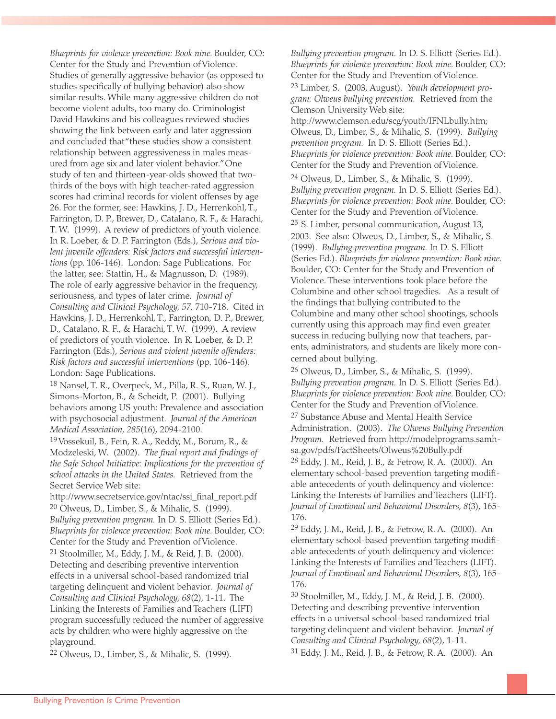Bullying Prevention *Is* Crime Prevention

*Blueprints for violence prevention: Book nine.* Boulder, CO: Center for the Study and Prevention of Violence. Studies of generally aggressive behavior (as opposed to studies specifically of bullying behavior) also show similar results. While many aggressive children do not become violent adults, too many do. Criminologist David Hawkins and his colleagues reviewed studies showing the link between early and later aggression and concluded that "these studies show a consistent relationship between aggressiveness in males measured from age six and later violent behavior."One study of ten and thirteen-year-olds showed that twothirds of the boys with high teacher-rated aggression scores had criminal records for violent offenses by age 26. For the former, see: Hawkins, J. D., Herrenkohl, T., Farrington, D. P., Brewer, D., Catalano, R. F., & Harachi, T. W. (1999). A review of predictors of youth violence. In R. Loeber, & D. P. Farrington (Eds.), *Serious and violent juvenile offenders: Risk factors and successful interventions* (pp. 106-146). London: Sage Publications. For the latter, see: Stattin, H., & Magnusson, D. (1989). The role of early aggressive behavior in the frequency, seriousness, and types of later crime. *Journal of Consulting and Clinical Psychology, 57,* 710-718. Cited in Hawkins, J. D., Herrenkohl, T., Farrington, D. P., Brewer, D., Catalano, R. F., & Harachi, T. W. (1999). A review of predictors of youth violence. In R. Loeber, & D. P. Farrington (Eds.), *Serious and violent juvenile offenders: Risk factors and successful interventions* (pp. 106-146). London: Sage Publications.

18 Nansel, T. R., Overpeck, M., Pilla, R. S., Ruan, W. J., Simons-Morton, B., & Scheidt, P. (2001). Bullying behaviors among US youth: Prevalence and association with psychosocial adjustment. *Journal of the American Medical Association, 285*(16), 2094-2100.

19Vossekuil, B., Fein, R. A., Reddy, M., Borum, R., & Modzeleski, W. (2002). *The final report and findings of the Safe School Initiative: Implications for the prevention of school attacks in the United States.* Retrieved from the Secret Service Web site:

http://www.secretservice.gov/ntac/ssi\_final\_report.pdf 20 Olweus, D., Limber, S., & Mihalic, S. (1999). *Bullying prevention program.* In D. S. Elliott (Series Ed.). *Blueprints for violence prevention: Book nine.* Boulder, CO: Center for the Study and Prevention of Violence.

21 Stoolmiller, M., Eddy, J. M., & Reid, J. B. (2000). Detecting and describing preventive intervention effects in a universal school-based randomized trial targeting delinquent and violent behavior. *Journal of Consulting and Clinical Psychology, 68*(2), 1-11. The Linking the Interests of Families and Teachers (LIFT) program successfully reduced the number of aggressive acts by children who were highly aggressive on the playground.

22 Olweus, D., Limber, S., & Mihalic, S. (1999).

*Bullying prevention program.* In D. S. Elliott (Series Ed.). *Blueprints for violence prevention: Book nine.* Boulder, CO: Center for the Study and Prevention of Violence.

23 Limber, S. (2003, August). *Youth development program: Olweus bullying prevention.* Retrieved from the Clemson University Web site:

http://www.clemson.edu/scg/youth/IFNLbully.htm; Olweus, D., Limber, S., & Mihalic, S. (1999). *Bullying prevention program.* In D. S. Elliott (Series Ed.). *Blueprints for violence prevention: Book nine.* Boulder, CO: Center for the Study and Prevention of Violence.

24 Olweus, D., Limber, S., & Mihalic, S. (1999). *Bullying prevention program.* In D. S. Elliott (Series Ed.). *Blueprints for violence prevention: Book nine.* Boulder, CO: Center for the Study and Prevention of Violence. 25 S. Limber, personal communication, August 13, 2003. See also: Olweus, D., Limber, S., & Mihalic, S. (1999). *Bullying prevention program.* In D. S. Elliott (Series Ed.). *Blueprints for violence prevention: Book nine.* Boulder, CO: Center for the Study and Prevention of Violence. These interventions took place before the Columbine and other school tragedies. As a result of the findings that bullying contributed to the Columbine and many other school shootings, schools currently using this approach may find even greater success in reducing bullying now that teachers, parents, administrators, and students are likely more concerned about bullying.

26 Olweus, D., Limber, S., & Mihalic, S. (1999). *Bullying prevention program.* In D. S. Elliott (Series Ed.). *Blueprints for violence prevention: Book nine.* Boulder, CO: Center for the Study and Prevention of Violence. 27 Substance Abuse and Mental Health Service Administration. (2003). *The Olweus Bullying Prevention Program.* Retrieved from http://modelprograms.samhsa.gov/pdfs/FactSheets/Olweus%20Bully.pdf 28 Eddy, J. M., Reid, J. B., & Fetrow, R. A. (2000). An elementary school-based prevention targeting modifiable antecedents of youth delinquency and violence: Linking the Interests of Families and Teachers (LIFT). *Journal of Emotional and Behavioral Disorders, 8*(3), 165- 176.

29 Eddy, J. M., Reid, J. B., & Fetrow, R. A. (2000). An elementary school-based prevention targeting modifiable antecedents of youth delinquency and violence: Linking the Interests of Families and Teachers (LIFT). *Journal of Emotional and Behavioral Disorders, 8*(3), 165- 176.

30 Stoolmiller, M., Eddy, J. M., & Reid, J. B. (2000). Detecting and describing preventive intervention effects in a universal school-based randomized trial targeting delinquent and violent behavior. *Journal of Consulting and Clinical Psychology, 68*(2), 1-11. 31 Eddy, J. M., Reid, J. B., & Fetrow, R. A. (2000). An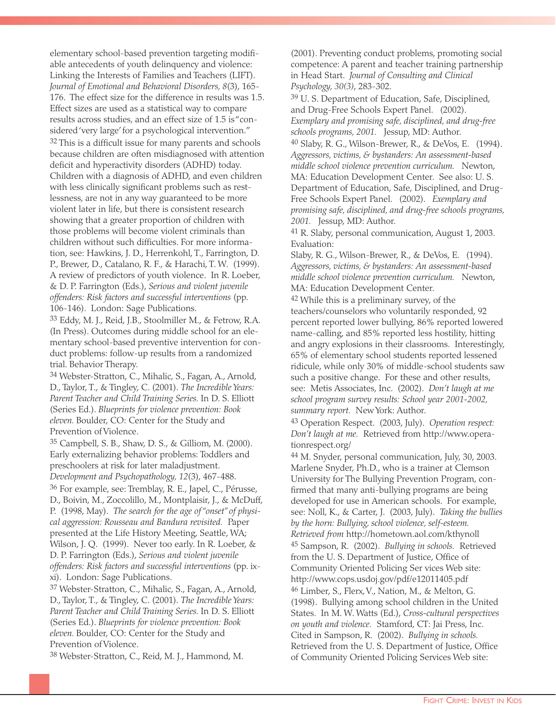elementary school-based prevention targeting modifiable antecedents of youth delinquency and violence: Linking the Interests of Families and Teachers (LIFT). *Journal of Emotional and Behavioral Disorders, 8*(3), 165- 176. The effect size for the difference in results was 1.5. Effect sizes are used as a statistical way to compare results across studies, and an effect size of 1.5 is "considered 'very large' for a psychological intervention." <sup>32</sup> This is a difficult issue for many parents and schools because children are often misdiagnosed with attention deficit and hyperactivity disorders (ADHD) today. Children with a diagnosis of ADHD, and even children with less clinically significant problems such as restlessness, are not in any way guaranteed to be more violent later in life, but there is consistent research showing that a greater proportion of children with those problems will become violent criminals than children without such difficulties. For more information, see: Hawkins, J. D., Herrenkohl, T., Farrington, D. P., Brewer, D., Catalano, R. F., & Harachi, T. W. (1999). A review of predictors of youth violence. In R. Loeber, & D. P. Farrington (Eds.), *Serious and violent juvenile offenders: Risk factors and successful interventions* (pp. 106-146). London: Sage Publications.

33 Eddy, M. J., Reid, J.B., Stoolmiller M., & Fetrow, R.A. (In Press). Outcomes during middle school for an elementary school-based preventive intervention for conduct problems: follow-up results from a randomized trial. Behavior Therapy.

34 Webster-Stratton, C., Mihalic, S., Fagan, A., Arnold, D., Taylor, T., & Tingley, C. (2001). *The Incredible Years: Parent Teacher and Child Training Series.* In D. S. Elliott (Series Ed.). *Blueprints for violence prevention: Book eleven.* Boulder, CO: Center for the Study and Prevention of Violence.

35 Campbell, S. B., Shaw, D. S., & Gilliom, M. (2000). Early externalizing behavior problems: Toddlers and preschoolers at risk for later maladjustment.

*Development and Psychopathology, 12*(3), 467-488. 36 For example, see: Tremblay, R. E., Japel, C., Pérusse, D., Boivin, M., Zoccolillo, M., Montplaisir, J., & McDuff, P. (1998, May). *The search for the age of "onset" of physical aggression: Rousseau and Bandura revisited.* Paper presented at the Life History Meeting, Seattle, WA; Wilson, J. Q. (1999). Never too early. In R. Loeber, & D. P. Farrington (Eds.), *Serious and violent juvenile offenders: Risk factors and successful interventions* (pp. ixxi). London: Sage Publications.

37 Webster-Stratton, C., Mihalic, S., Fagan, A., Arnold, D., Taylor, T., & Tingley, C. (2001). *The Incredible Years: Parent Teacher and Child Training Series.* In D. S. Elliott (Series Ed.). *Blueprints for violence prevention: Book eleven.* Boulder, CO: Center for the Study and Prevention of Violence.

38 Webster-Stratton, C., Reid, M. J., Hammond, M.

(2001). Preventing conduct problems, promoting social competence: A parent and teacher training partnership in Head Start. *Journal of Consulting and Clinical Psychology, 30(3)*, 283-302.

39 U. S. Department of Education, Safe, Disciplined, and Drug-Free Schools Expert Panel. (2002). *Exemplary and promising safe, disciplined, and drug-free schools programs, 2001.* Jessup, MD: Author.

40 Slaby, R. G., Wilson-Brewer, R., & DeVos, E. (1994). *Aggressors, victims, & bystanders: An assessment-based middle school violence prevention curriculum.* Newton, MA: Education Development Center. See also: U. S. Department of Education, Safe, Disciplined, and Drug-Free Schools Expert Panel. (2002). *Exemplary and promising safe, disciplined, and drug-free schools programs, 2001.* Jessup, MD: Author.

41 R. Slaby, personal communication, August 1, 2003. Evaluation:

Slaby, R. G., Wilson-Brewer, R., & DeVos, E. (1994). *Aggressors, victims, & bystanders: An assessment-based middle school violence prevention curriculum.* Newton, MA: Education Development Center.

42 While this is a preliminary survey, of the teachers/counselors who voluntarily responded, 92 percent reported lower bullying, 86% reported lowered name-calling, and 85% reported less hostility, hitting and angry explosions in their classrooms. Interestingly, 65% of elementary school students reported lessened ridicule, while only 30% of middle-school students saw such a positive change. For these and other results, see: Metis Associates, Inc. (2002). *Don't laugh at me school program survey results: School year 2001-2002, summary report.* New York: Author.

43 Operation Respect. (2003, July). *Operation respect: Don't laugh at me.* Retrieved from http://www.operationrespect.org/

44 M. Snyder, personal communication, July, 30, 2003. Marlene Snyder, Ph.D., who is a trainer at Clemson University for The Bullying Prevention Program, confirmed that many anti-bullying programs are being developed for use in American schools. For example, see: Noll, K., & Carter, J. (2003, July). *Taking the bullies by the horn: Bullying, school violence, self-esteem. Retrieved from* http://hometown.aol.com/kthynoll 45 Sampson, R. (2002). *Bullying in schools.* Retrieved from the U. S. Department of Justice, Office of Community Oriented Policing Ser vices Web site: http://www.cops.usdoj.gov/pdf/e12011405.pdf 46 Limber, S., Flerx,V., Nation, M., & Melton, G. (1998). Bullying among school children in the United States. In M. W. Watts (Ed.), *Cross-cultural perspectives on youth and violence.* Stamford, CT: Jai Press, Inc. Cited in Sampson, R. (2002). *Bullying in schools.* Retrieved from the U. S. Department of Justice, Office of Community Oriented Policing Services Web site: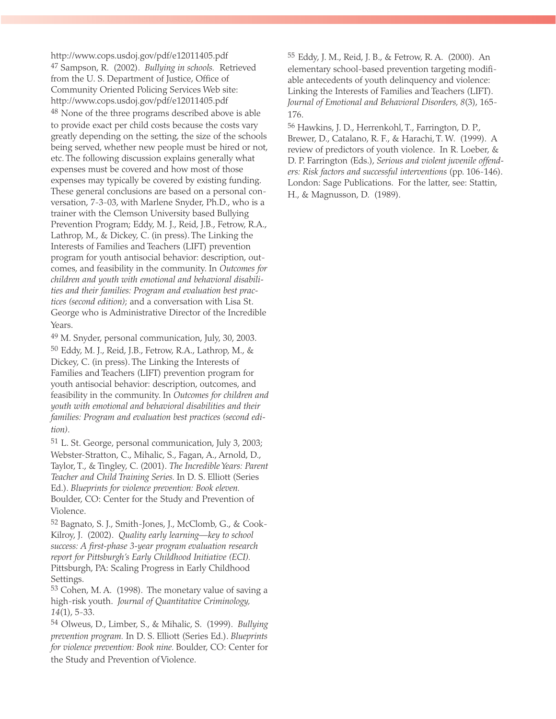http://www.cops.usdoj.gov/pdf/e12011405.pdf 47 Sampson, R. (2002). *Bullying in schools.* Retrieved from the U. S. Department of Justice, Office of Community Oriented Policing Services Web site: http://www.cops.usdoj.gov/pdf/e12011405.pdf <sup>48</sup> None of the three programs described above is able to provide exact per child costs because the costs vary greatly depending on the setting, the size of the schools being served, whether new people must be hired or not, etc. The following discussion explains generally what expenses must be covered and how most of those expenses may typically be covered by existing funding. These general conclusions are based on a personal conversation, 7-3-03, with Marlene Snyder, Ph.D., who is a trainer with the Clemson University based Bullying Prevention Program; Eddy, M. J., Reid, J.B., Fetrow, R.A., Lathrop, M., & Dickey, C. (in press). The Linking the Interests of Families and Teachers (LIFT) prevention program for youth antisocial behavior: description, outcomes, and feasibility in the community. In *Outcomes for children and youth with emotional and behavioral disabilities and their families: Program and evaluation best practices (second edition)*; and a conversation with Lisa St. George who is Administrative Director of the Incredible Years.

49 M. Snyder, personal communication, July, 30, 2003. 50 Eddy, M. J., Reid, J.B., Fetrow, R.A., Lathrop, M., & Dickey, C. (in press). The Linking the Interests of Families and Teachers (LIFT) prevention program for youth antisocial behavior: description, outcomes, and feasibility in the community. In *Outcomes for children and youth with emotional and behavioral disabilities and their families: Program and evaluation best practices (second edition)*.

51 L. St. George, personal communication, July 3, 2003; Webster-Stratton, C., Mihalic, S., Fagan, A., Arnold, D., Taylor, T., & Tingley, C. (2001). *The Incredible Years: Parent Teacher and Child Training Series.* In D. S. Elliott (Series Ed.). *Blueprints for violence prevention: Book eleven.* Boulder, CO: Center for the Study and Prevention of Violence.

52 Bagnato, S. J., Smith-Jones, J., McClomb, G., & Cook-Kilroy, J. (2002). *Quality early learning—key to school success: A first-phase 3-year program evaluation research report for Pittsburgh's Early Childhood Initiative (ECI).* Pittsburgh, PA: Scaling Progress in Early Childhood Settings.

53 Cohen, M. A. (1998). The monetary value of saving a high-risk youth. *Journal of Quantitative Criminology, 14*(1), 5-33.

54 Olweus, D., Limber, S., & Mihalic, S. (1999). *Bullying prevention program.* In D. S. Elliott (Series Ed.). *Blueprints for violence prevention: Book nine.* Boulder, CO: Center for the Study and Prevention of Violence.

55 Eddy, J. M., Reid, J. B., & Fetrow, R. A. (2000). An elementary school-based prevention targeting modifiable antecedents of youth delinquency and violence: Linking the Interests of Families and Teachers (LIFT). *Journal of Emotional and Behavioral Disorders, 8*(3), 165- 176.

56 Hawkins, J. D., Herrenkohl, T., Farrington, D. P., Brewer, D., Catalano, R. F., & Harachi, T. W. (1999). A review of predictors of youth violence. In R. Loeber, & D. P. Farrington (Eds.), *Serious and violent juvenile offenders: Risk factors and successful interventions* (pp. 106-146). London: Sage Publications. For the latter, see: Stattin, H., & Magnusson, D. (1989).